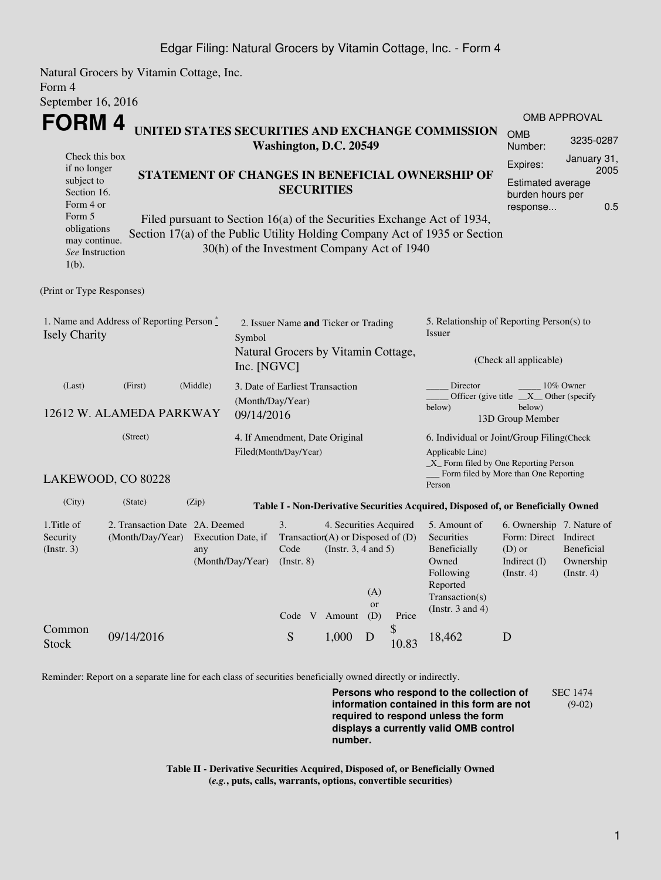## Edgar Filing: Natural Grocers by Vitamin Cottage, Inc. - Form 4

Natural Grocers by Vitamin Cottage, Inc. Form 4 September 16, 2016

| <b>FORM4</b>                                                                                                                                                                                                                                                                              |                                                                               |                                                                      |                                                                                 |                                                    |                     |                                                                                                         |                                                                                                                         |                                                                                                      | OMB APPROVAL<br><b>OMB</b>                   |  |  |  |
|-------------------------------------------------------------------------------------------------------------------------------------------------------------------------------------------------------------------------------------------------------------------------------------------|-------------------------------------------------------------------------------|----------------------------------------------------------------------|---------------------------------------------------------------------------------|----------------------------------------------------|---------------------|---------------------------------------------------------------------------------------------------------|-------------------------------------------------------------------------------------------------------------------------|------------------------------------------------------------------------------------------------------|----------------------------------------------|--|--|--|
|                                                                                                                                                                                                                                                                                           | UNITED STATES SECURITIES AND EXCHANGE COMMISSION<br>Washington, D.C. 20549    |                                                                      |                                                                                 |                                                    |                     |                                                                                                         |                                                                                                                         |                                                                                                      | 3235-0287                                    |  |  |  |
| Check this box<br>if no longer                                                                                                                                                                                                                                                            |                                                                               |                                                                      |                                                                                 | Expires:                                           | January 31,<br>2005 |                                                                                                         |                                                                                                                         |                                                                                                      |                                              |  |  |  |
| subject to<br>Section 16.<br>Form 4 or                                                                                                                                                                                                                                                    |                                                                               | STATEMENT OF CHANGES IN BENEFICIAL OWNERSHIP OF<br><b>SECURITIES</b> |                                                                                 |                                                    |                     |                                                                                                         |                                                                                                                         |                                                                                                      | Estimated average<br>burden hours per<br>0.5 |  |  |  |
| response<br>Form 5<br>Filed pursuant to Section 16(a) of the Securities Exchange Act of 1934,<br>obligations<br>Section 17(a) of the Public Utility Holding Company Act of 1935 or Section<br>may continue.<br>30(h) of the Investment Company Act of 1940<br>See Instruction<br>$1(b)$ . |                                                                               |                                                                      |                                                                                 |                                                    |                     |                                                                                                         |                                                                                                                         |                                                                                                      |                                              |  |  |  |
| (Print or Type Responses)                                                                                                                                                                                                                                                                 |                                                                               |                                                                      |                                                                                 |                                                    |                     |                                                                                                         |                                                                                                                         |                                                                                                      |                                              |  |  |  |
| 1. Name and Address of Reporting Person *<br><b>Isely Charity</b>                                                                                                                                                                                                                         | Symbol                                                                        | 2. Issuer Name and Ticker or Trading                                 |                                                                                 |                                                    |                     |                                                                                                         | 5. Relationship of Reporting Person(s) to<br>Issuer                                                                     |                                                                                                      |                                              |  |  |  |
|                                                                                                                                                                                                                                                                                           |                                                                               | Natural Grocers by Vitamin Cottage,<br>Inc. [NGVC]                   |                                                                                 |                                                    |                     |                                                                                                         | (Check all applicable)                                                                                                  |                                                                                                      |                                              |  |  |  |
| (Last)<br>12612 W. ALAMEDA PARKWAY                                                                                                                                                                                                                                                        | (Middle)<br>3. Date of Earliest Transaction<br>(Month/Day/Year)<br>09/14/2016 |                                                                      |                                                                                 |                                                    |                     | Director<br>10% Owner<br>Officer (give title $X$ Other (specify<br>below)<br>below)<br>13D Group Member |                                                                                                                         |                                                                                                      |                                              |  |  |  |
|                                                                                                                                                                                                                                                                                           | (Street)<br>4. If Amendment, Date Original<br>Filed(Month/Day/Year)           |                                                                      |                                                                                 |                                                    |                     |                                                                                                         | 6. Individual or Joint/Group Filing(Check<br>Applicable Line)<br>_X_ Form filed by One Reporting Person                 |                                                                                                      |                                              |  |  |  |
|                                                                                                                                                                                                                                                                                           | LAKEWOOD, CO 80228                                                            |                                                                      |                                                                                 |                                                    |                     |                                                                                                         | Form filed by More than One Reporting<br>Person                                                                         |                                                                                                      |                                              |  |  |  |
| (City)                                                                                                                                                                                                                                                                                    | (Zip)<br>(State)                                                              |                                                                      |                                                                                 |                                                    |                     |                                                                                                         | Table I - Non-Derivative Securities Acquired, Disposed of, or Beneficially Owned                                        |                                                                                                      |                                              |  |  |  |
| 1. Title of<br>Security<br>(Insert. 3)                                                                                                                                                                                                                                                    | 2. Transaction Date 2A. Deemed<br>(Month/Day/Year)<br>any                     | 3.<br>Execution Date, if<br>(Month/Day/Year)                         | Transaction(A) or Disposed of $(D)$<br>Code<br>$($ Instr. $8)$<br>Code V Amount | 4. Securities Acquired<br>(Instr. $3, 4$ and $5$ ) | (A)<br>or<br>(D)    | Price                                                                                                   | 5. Amount of<br>Securities<br>Beneficially<br>Owned<br>Following<br>Reported<br>Transaction(s)<br>(Instr. $3$ and $4$ ) | 6. Ownership 7. Nature of<br>Form: Direct Indirect<br>$(D)$ or<br>Indirect $(I)$<br>$($ Instr. 4 $)$ | Beneficial<br>Ownership<br>(Insert. 4)       |  |  |  |
| Common<br><b>Stock</b>                                                                                                                                                                                                                                                                    | 09/14/2016                                                                    |                                                                      | S                                                                               | 1,000                                              | D                   | \$<br>10.83                                                                                             | 18,462                                                                                                                  | D                                                                                                    |                                              |  |  |  |

Reminder: Report on a separate line for each class of securities beneficially owned directly or indirectly.

**Persons who respond to the collection of information contained in this form are not required to respond unless the form displays a currently valid OMB control number.** SEC 1474 (9-02)

**Table II - Derivative Securities Acquired, Disposed of, or Beneficially Owned (***e.g.***, puts, calls, warrants, options, convertible securities)**